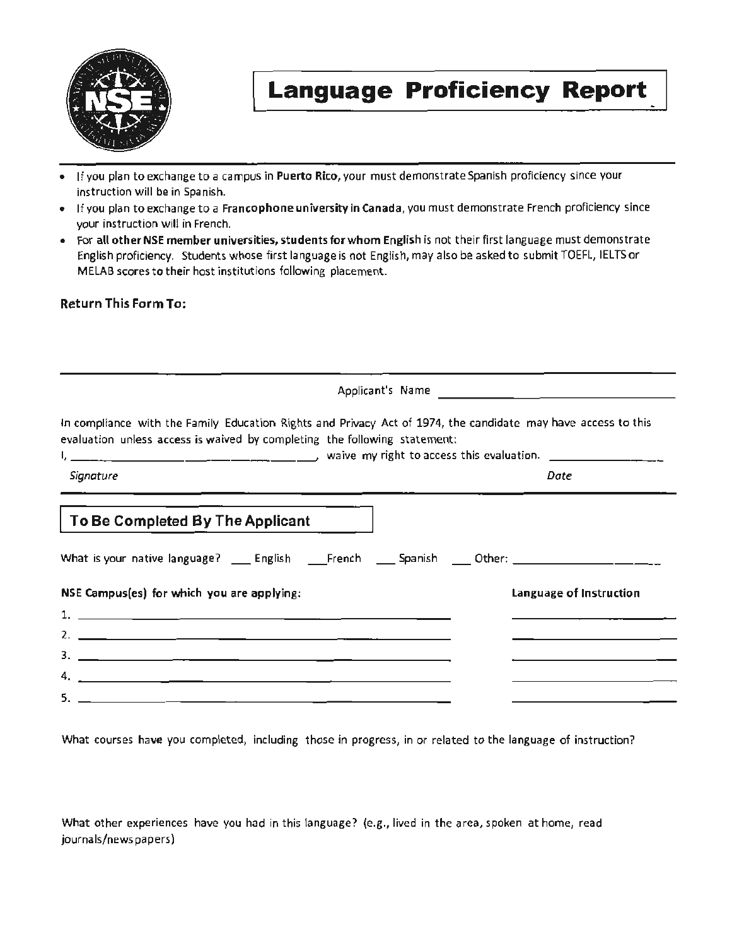

# **Language Proficiency Report**

- If you plan to exchange to a campus in Puerto Rico, your must demonstrate Spanish proficiency since your instruction will be in Spanish.
- If you plan to exchange to a Francophone university in Canada, you must demonstrate French proficiency since your instruction will in French.
- For all other NSE member universities, students for whom English is not their first language must demonstrate English proficiency. Students whose first language is not English, may also be asked to submit TOEFL, IELTS or MELAB scores to their host institutions following placement.

## Return This Form To:

|                                                                                                                                                                                                                                                                                                                               | Applicant's Name        |
|-------------------------------------------------------------------------------------------------------------------------------------------------------------------------------------------------------------------------------------------------------------------------------------------------------------------------------|-------------------------|
| In compliance with the Family Education Rights and Privacy Act of 1974, the candidate may have access to this<br>evaluation unless access is waived by completing the following statement:<br>$\frac{1}{2}$ and $\frac{1}{2}$ are $\frac{1}{2}$ and $\frac{1}{2}$ are $\frac{1}{2}$ waive my right to access this evaluation. |                         |
| Signature<br><u> 1955 - Jacques Barbara, amerikan personal di sebagai personal di sebagai personal di sebagai personal di seba</u>                                                                                                                                                                                            | Date                    |
| To Be Completed By The Applicant                                                                                                                                                                                                                                                                                              |                         |
| What is your native language? _____ English _____French _____ Spanish _____ Other: ___________________________                                                                                                                                                                                                                |                         |
| NSE Campus(es) for which you are applying:                                                                                                                                                                                                                                                                                    | Language of Instruction |
|                                                                                                                                                                                                                                                                                                                               |                         |
|                                                                                                                                                                                                                                                                                                                               |                         |
|                                                                                                                                                                                                                                                                                                                               |                         |
|                                                                                                                                                                                                                                                                                                                               |                         |
| <u> 2002 - John Harry Harry Harry Harry Harry Harry Harry Harry Harry Harry Harry Harry Harry Harry Harry Harry H</u>                                                                                                                                                                                                         |                         |

What courses have you completed, including those in progress, in or related to the language of instruction?

What other experiences have you had in this language? (e.g., lived in the area, spoken at home, read journals/news papers)